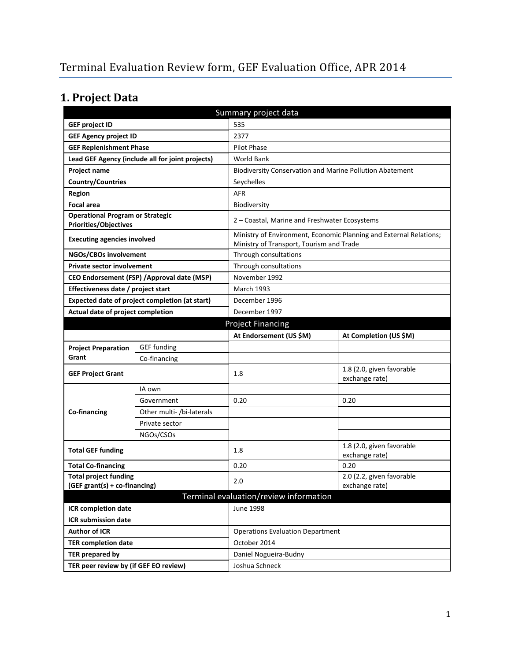# **1. Project Data**

| Summary project data                                                    |                           |                                                                 |                                                                                                                |  |  |
|-------------------------------------------------------------------------|---------------------------|-----------------------------------------------------------------|----------------------------------------------------------------------------------------------------------------|--|--|
| <b>GEF project ID</b>                                                   |                           | 535                                                             |                                                                                                                |  |  |
| <b>GEF Agency project ID</b>                                            |                           | 2377                                                            |                                                                                                                |  |  |
| <b>GEF Replenishment Phase</b>                                          |                           | Pilot Phase                                                     |                                                                                                                |  |  |
| Lead GEF Agency (include all for joint projects)                        |                           | World Bank                                                      |                                                                                                                |  |  |
| Project name                                                            |                           | <b>Biodiversity Conservation and Marine Pollution Abatement</b> |                                                                                                                |  |  |
| <b>Country/Countries</b>                                                |                           | Seychelles                                                      |                                                                                                                |  |  |
| <b>Region</b>                                                           |                           | <b>AFR</b>                                                      |                                                                                                                |  |  |
| <b>Focal area</b>                                                       |                           | Biodiversity                                                    |                                                                                                                |  |  |
| <b>Operational Program or Strategic</b><br><b>Priorities/Objectives</b> |                           | 2 - Coastal, Marine and Freshwater Ecosystems                   |                                                                                                                |  |  |
| <b>Executing agencies involved</b>                                      |                           |                                                                 | Ministry of Environment, Economic Planning and External Relations;<br>Ministry of Transport, Tourism and Trade |  |  |
| NGOs/CBOs involvement                                                   |                           | Through consultations                                           |                                                                                                                |  |  |
| <b>Private sector involvement</b>                                       |                           | Through consultations                                           |                                                                                                                |  |  |
| CEO Endorsement (FSP) / Approval date (MSP)                             |                           | November 1992                                                   |                                                                                                                |  |  |
| Effectiveness date / project start                                      |                           | <b>March 1993</b>                                               |                                                                                                                |  |  |
| Expected date of project completion (at start)                          |                           | December 1996                                                   |                                                                                                                |  |  |
| Actual date of project completion                                       |                           | December 1997                                                   |                                                                                                                |  |  |
|                                                                         |                           | <b>Project Financing</b>                                        |                                                                                                                |  |  |
|                                                                         |                           | At Endorsement (US \$M)                                         | At Completion (US \$M)                                                                                         |  |  |
| <b>Project Preparation</b>                                              | <b>GEF</b> funding        |                                                                 |                                                                                                                |  |  |
| Grant                                                                   | Co-financing              |                                                                 |                                                                                                                |  |  |
| <b>GEF Project Grant</b>                                                |                           | 1.8                                                             | 1.8 (2.0, given favorable<br>exchange rate)                                                                    |  |  |
|                                                                         | IA own                    |                                                                 |                                                                                                                |  |  |
|                                                                         | Government                | 0.20                                                            | 0.20                                                                                                           |  |  |
| Co-financing                                                            | Other multi- /bi-laterals |                                                                 |                                                                                                                |  |  |
|                                                                         | Private sector            |                                                                 |                                                                                                                |  |  |
|                                                                         | NGOs/CSOs                 |                                                                 |                                                                                                                |  |  |
| <b>Total GEF funding</b>                                                |                           | 1.8                                                             | 1.8 (2.0, given favorable<br>exchange rate)                                                                    |  |  |
| <b>Total Co-financing</b>                                               |                           | 0.20                                                            | 0.20                                                                                                           |  |  |
| <b>Total project funding</b><br>(GEF grant(s) + co-financing)           |                           | 2.0                                                             | 2.0 (2.2, given favorable<br>exchange rate)                                                                    |  |  |
|                                                                         |                           | Terminal evaluation/review information                          |                                                                                                                |  |  |
| <b>ICR</b> completion date                                              |                           | <b>June 1998</b>                                                |                                                                                                                |  |  |
| <b>ICR submission date</b>                                              |                           |                                                                 |                                                                                                                |  |  |
| <b>Author of ICR</b>                                                    |                           | <b>Operations Evaluation Department</b>                         |                                                                                                                |  |  |
| <b>TER completion date</b>                                              |                           | October 2014                                                    |                                                                                                                |  |  |
| <b>TER prepared by</b>                                                  |                           | Daniel Nogueira-Budny                                           |                                                                                                                |  |  |
| TER peer review by (if GEF EO review)                                   |                           | Joshua Schneck                                                  |                                                                                                                |  |  |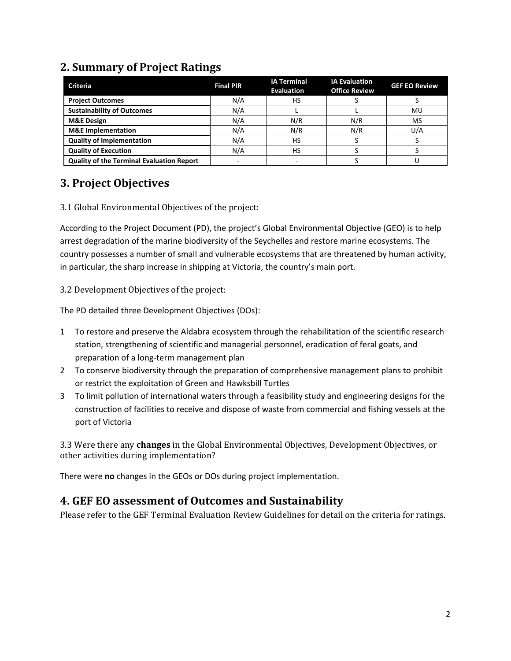# **2. Summary of Project Ratings**

| <b>Criteria</b>                                  | <b>Final PIR</b> | <b>IA Terminal</b><br><b>Evaluation</b> | <b>IA Evaluation</b><br><b>Office Review</b> | <b>GEF EO Review</b> |
|--------------------------------------------------|------------------|-----------------------------------------|----------------------------------------------|----------------------|
| <b>Project Outcomes</b>                          | N/A              | HS                                      |                                              |                      |
| <b>Sustainability of Outcomes</b>                | N/A              |                                         |                                              | MU                   |
| <b>M&amp;E Design</b>                            | N/A              | N/R                                     | N/R                                          | MS                   |
| <b>M&amp;E</b> Implementation                    | N/A              | N/R                                     | N/R                                          | U/A                  |
| <b>Quality of Implementation</b>                 | N/A              | <b>HS</b>                               |                                              |                      |
| <b>Quality of Execution</b>                      | N/A              | HS                                      |                                              |                      |
| <b>Quality of the Terminal Evaluation Report</b> |                  |                                         |                                              |                      |

# **3. Project Objectives**

3.1 Global Environmental Objectives of the project:

According to the Project Document (PD), the project's Global Environmental Objective (GEO) is to help arrest degradation of the marine biodiversity of the Seychelles and restore marine ecosystems. The country possesses a number of small and vulnerable ecosystems that are threatened by human activity, in particular, the sharp increase in shipping at Victoria, the country's main port.

3.2 Development Objectives of the project:

The PD detailed three Development Objectives (DOs):

- 1 To restore and preserve the Aldabra ecosystem through the rehabilitation of the scientific research station, strengthening of scientific and managerial personnel, eradication of feral goats, and preparation of a long-term management plan
- 2 To conserve biodiversity through the preparation of comprehensive management plans to prohibit or restrict the exploitation of Green and Hawksbill Turtles
- 3 To limit pollution of international waters through a feasibility study and engineering designs for the construction of facilities to receive and dispose of waste from commercial and fishing vessels at the port of Victoria

3.3 Were there any **changes** in the Global Environmental Objectives, Development Objectives, or other activities during implementation?

There were **no** changes in the GEOs or DOs during project implementation.

## **4. GEF EO assessment of Outcomes and Sustainability**

Please refer to the GEF Terminal Evaluation Review Guidelines for detail on the criteria for ratings.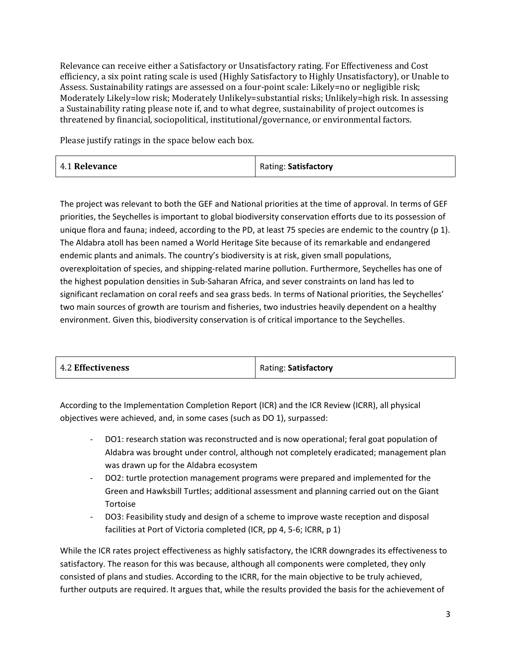Relevance can receive either a Satisfactory or Unsatisfactory rating. For Effectiveness and Cost efficiency, a six point rating scale is used (Highly Satisfactory to Highly Unsatisfactory), or Unable to Assess. Sustainability ratings are assessed on a four-point scale: Likely=no or negligible risk; Moderately Likely=low risk; Moderately Unlikely=substantial risks; Unlikely=high risk. In assessing a Sustainability rating please note if, and to what degree, sustainability of project outcomes is threatened by financial, sociopolitical, institutional/governance, or environmental factors.

Please justify ratings in the space below each box.

| 4.1 Relevance | Rating: Satisfactory |
|---------------|----------------------|
|---------------|----------------------|

The project was relevant to both the GEF and National priorities at the time of approval. In terms of GEF priorities, the Seychelles is important to global biodiversity conservation efforts due to its possession of unique flora and fauna; indeed, according to the PD, at least 75 species are endemic to the country (p 1). The Aldabra atoll has been named a World Heritage Site because of its remarkable and endangered endemic plants and animals. The country's biodiversity is at risk, given small populations, overexploitation of species, and shipping-related marine pollution. Furthermore, Seychelles has one of the highest population densities in Sub-Saharan Africa, and sever constraints on land has led to significant reclamation on coral reefs and sea grass beds. In terms of National priorities, the Seychelles' two main sources of growth are tourism and fisheries, two industries heavily dependent on a healthy environment. Given this, biodiversity conservation is of critical importance to the Seychelles.

| <b>4.2 Effectiveness</b> | Rating: Satisfactory |
|--------------------------|----------------------|
|--------------------------|----------------------|

According to the Implementation Completion Report (ICR) and the ICR Review (ICRR), all physical objectives were achieved, and, in some cases (such as DO 1), surpassed:

- DO1: research station was reconstructed and is now operational; feral goat population of Aldabra was brought under control, although not completely eradicated; management plan was drawn up for the Aldabra ecosystem
- DO2: turtle protection management programs were prepared and implemented for the Green and Hawksbill Turtles; additional assessment and planning carried out on the Giant Tortoise
- DO3: Feasibility study and design of a scheme to improve waste reception and disposal facilities at Port of Victoria completed (ICR, pp 4, 5-6; ICRR, p 1)

While the ICR rates project effectiveness as highly satisfactory, the ICRR downgrades its effectiveness to satisfactory. The reason for this was because, although all components were completed, they only consisted of plans and studies. According to the ICRR, for the main objective to be truly achieved, further outputs are required. It argues that, while the results provided the basis for the achievement of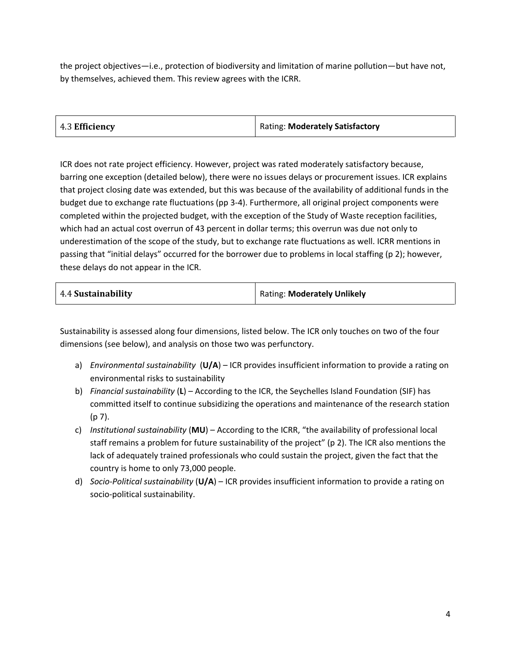the project objectives—i.e., protection of biodiversity and limitation of marine pollution—but have not, by themselves, achieved them. This review agrees with the ICRR.

| 4.3 Efficiency | Rating: Moderately Satisfactory |
|----------------|---------------------------------|
|----------------|---------------------------------|

ICR does not rate project efficiency. However, project was rated moderately satisfactory because, barring one exception (detailed below), there were no issues delays or procurement issues. ICR explains that project closing date was extended, but this was because of the availability of additional funds in the budget due to exchange rate fluctuations (pp 3-4). Furthermore, all original project components were completed within the projected budget, with the exception of the Study of Waste reception facilities, which had an actual cost overrun of 43 percent in dollar terms; this overrun was due not only to underestimation of the scope of the study, but to exchange rate fluctuations as well. ICRR mentions in passing that "initial delays" occurred for the borrower due to problems in local staffing (p 2); however, these delays do not appear in the ICR.

| 4.4 Sustainability | <b>Rating: Moderately Unlikely</b> |
|--------------------|------------------------------------|
|--------------------|------------------------------------|

Sustainability is assessed along four dimensions, listed below. The ICR only touches on two of the four dimensions (see below), and analysis on those two was perfunctory.

- a) *Environmental sustainability* (**U/A**) ICR provides insufficient information to provide a rating on environmental risks to sustainability
- b) *Financial sustainability* (**L**) According to the ICR, the Seychelles Island Foundation (SIF) has committed itself to continue subsidizing the operations and maintenance of the research station (p 7).
- c) *Institutional sustainability* (**MU**) According to the ICRR, "the availability of professional local staff remains a problem for future sustainability of the project" (p 2). The ICR also mentions the lack of adequately trained professionals who could sustain the project, given the fact that the country is home to only 73,000 people.
- d) *Socio-Political sustainability* (**U/A**) ICR provides insufficient information to provide a rating on socio-political sustainability.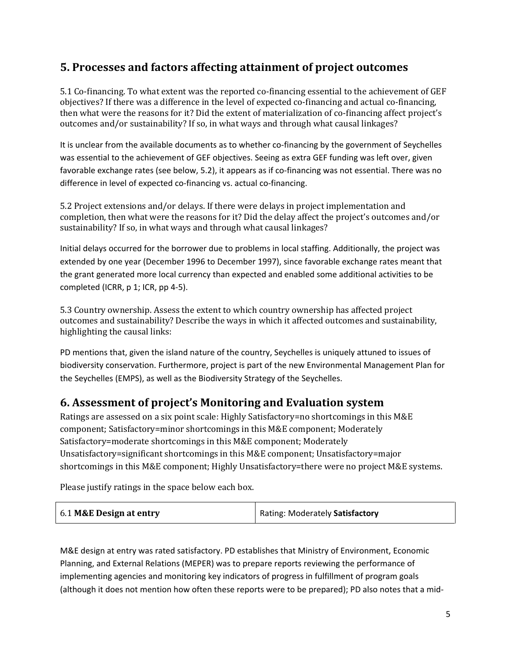# **5. Processes and factors affecting attainment of project outcomes**

5.1 Co-financing. To what extent was the reported co-financing essential to the achievement of GEF objectives? If there was a difference in the level of expected co-financing and actual co-financing, then what were the reasons for it? Did the extent of materialization of co-financing affect project's outcomes and/or sustainability? If so, in what ways and through what causal linkages?

It is unclear from the available documents as to whether co-financing by the government of Seychelles was essential to the achievement of GEF objectives. Seeing as extra GEF funding was left over, given favorable exchange rates (see below, 5.2), it appears as if co-financing was not essential. There was no difference in level of expected co-financing vs. actual co-financing.

5.2 Project extensions and/or delays. If there were delays in project implementation and completion, then what were the reasons for it? Did the delay affect the project's outcomes and/or sustainability? If so, in what ways and through what causal linkages?

Initial delays occurred for the borrower due to problems in local staffing. Additionally, the project was extended by one year (December 1996 to December 1997), since favorable exchange rates meant that the grant generated more local currency than expected and enabled some additional activities to be completed (ICRR, p 1; ICR, pp 4-5).

5.3 Country ownership. Assess the extent to which country ownership has affected project outcomes and sustainability? Describe the ways in which it affected outcomes and sustainability, highlighting the causal links:

PD mentions that, given the island nature of the country, Seychelles is uniquely attuned to issues of biodiversity conservation. Furthermore, project is part of the new Environmental Management Plan for the Seychelles (EMPS), as well as the Biodiversity Strategy of the Seychelles.

## **6. Assessment of project's Monitoring and Evaluation system**

Ratings are assessed on a six point scale: Highly Satisfactory=no shortcomings in this M&E component; Satisfactory=minor shortcomings in this M&E component; Moderately Satisfactory=moderate shortcomings in this M&E component; Moderately Unsatisfactory=significant shortcomings in this M&E component; Unsatisfactory=major shortcomings in this M&E component; Highly Unsatisfactory=there were no project M&E systems.

Please justify ratings in the space below each box.

| 6.1 M&E Design at entry | Rating: Moderately Satisfactory |
|-------------------------|---------------------------------|
|                         |                                 |

M&E design at entry was rated satisfactory. PD establishes that Ministry of Environment, Economic Planning, and External Relations (MEPER) was to prepare reports reviewing the performance of implementing agencies and monitoring key indicators of progress in fulfillment of program goals (although it does not mention how often these reports were to be prepared); PD also notes that a mid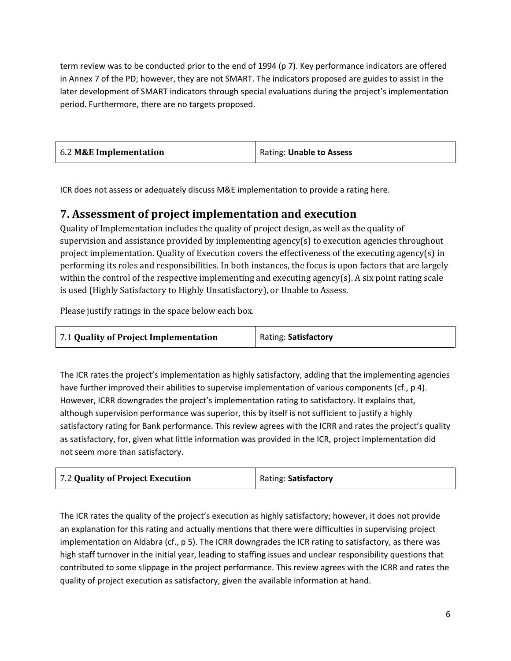term review was to be conducted prior to the end of 1994 (p 7). Key performance indicators are offered in Annex 7 of the PD; however, they are not SMART. The indicators proposed are guides to assist in the later development of SMART indicators through special evaluations during the project's implementation period. Furthermore, there are no targets proposed.

| 6.2 M&E Implementation<br>Rating: Unable to Assess |
|----------------------------------------------------|
|----------------------------------------------------|

ICR does not assess or adequately discuss M&E implementation to provide a rating here.

#### **7. Assessment of project implementation and execution**

Quality of Implementation includes the quality of project design, as well as the quality of supervision and assistance provided by implementing agency(s) to execution agencies throughout project implementation. Quality of Execution covers the effectiveness of the executing agency(s) in performing its roles and responsibilities. In both instances, the focus is upon factors that are largely within the control of the respective implementing and executing agency(s). A six point rating scale is used (Highly Satisfactory to Highly Unsatisfactory), or Unable to Assess.

Please justify ratings in the space below each box.

| 7.1 Quality of Project Implementation | Rating: Satisfactory |
|---------------------------------------|----------------------|
|                                       |                      |

The ICR rates the project's implementation as highly satisfactory, adding that the implementing agencies have further improved their abilities to supervise implementation of various components (cf., p 4). However, ICRR downgrades the project's implementation rating to satisfactory. It explains that, although supervision performance was superior, this by itself is not sufficient to justify a highly satisfactory rating for Bank performance. This review agrees with the ICRR and rates the project's quality as satisfactory, for, given what little information was provided in the ICR, project implementation did not seem more than satisfactory.

| 7.2 Quality of Project Execution | Rating: Satisfactory |
|----------------------------------|----------------------|
|                                  |                      |

The ICR rates the quality of the project's execution as highly satisfactory; however, it does not provide an explanation for this rating and actually mentions that there were difficulties in supervising project implementation on Aldabra (cf., p 5). The ICRR downgrades the ICR rating to satisfactory, as there was high staff turnover in the initial year, leading to staffing issues and unclear responsibility questions that contributed to some slippage in the project performance. This review agrees with the ICRR and rates the quality of project execution as satisfactory, given the available information at hand.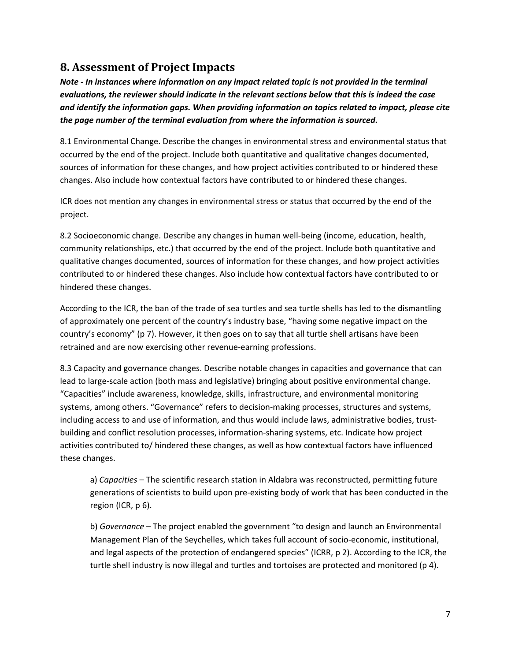## **8. Assessment of Project Impacts**

*Note - In instances where information on any impact related topic is not provided in the terminal evaluations, the reviewer should indicate in the relevant sections below that this is indeed the case and identify the information gaps. When providing information on topics related to impact, please cite the page number of the terminal evaluation from where the information is sourced.* 

8.1 Environmental Change. Describe the changes in environmental stress and environmental status that occurred by the end of the project. Include both quantitative and qualitative changes documented, sources of information for these changes, and how project activities contributed to or hindered these changes. Also include how contextual factors have contributed to or hindered these changes.

ICR does not mention any changes in environmental stress or status that occurred by the end of the project.

8.2 Socioeconomic change. Describe any changes in human well-being (income, education, health, community relationships, etc.) that occurred by the end of the project. Include both quantitative and qualitative changes documented, sources of information for these changes, and how project activities contributed to or hindered these changes. Also include how contextual factors have contributed to or hindered these changes.

According to the ICR, the ban of the trade of sea turtles and sea turtle shells has led to the dismantling of approximately one percent of the country's industry base, "having some negative impact on the country's economy" (p 7). However, it then goes on to say that all turtle shell artisans have been retrained and are now exercising other revenue-earning professions.

8.3 Capacity and governance changes. Describe notable changes in capacities and governance that can lead to large-scale action (both mass and legislative) bringing about positive environmental change. "Capacities" include awareness, knowledge, skills, infrastructure, and environmental monitoring systems, among others. "Governance" refers to decision-making processes, structures and systems, including access to and use of information, and thus would include laws, administrative bodies, trustbuilding and conflict resolution processes, information-sharing systems, etc. Indicate how project activities contributed to/ hindered these changes, as well as how contextual factors have influenced these changes.

a) *Capacities* – The scientific research station in Aldabra was reconstructed, permitting future generations of scientists to build upon pre-existing body of work that has been conducted in the region (ICR, p 6).

b) *Governance* – The project enabled the government "to design and launch an Environmental Management Plan of the Seychelles, which takes full account of socio-economic, institutional, and legal aspects of the protection of endangered species" (ICRR, p 2). According to the ICR, the turtle shell industry is now illegal and turtles and tortoises are protected and monitored (p 4).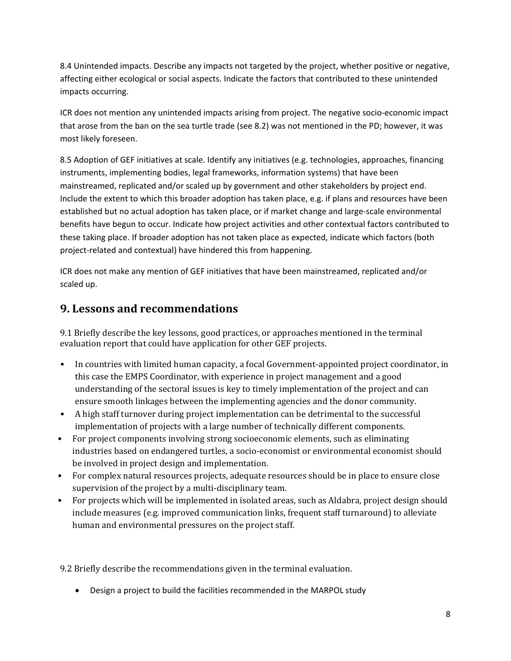8.4 Unintended impacts. Describe any impacts not targeted by the project, whether positive or negative, affecting either ecological or social aspects. Indicate the factors that contributed to these unintended impacts occurring.

ICR does not mention any unintended impacts arising from project. The negative socio-economic impact that arose from the ban on the sea turtle trade (see 8.2) was not mentioned in the PD; however, it was most likely foreseen.

8.5 Adoption of GEF initiatives at scale. Identify any initiatives (e.g. technologies, approaches, financing instruments, implementing bodies, legal frameworks, information systems) that have been mainstreamed, replicated and/or scaled up by government and other stakeholders by project end. Include the extent to which this broader adoption has taken place, e.g. if plans and resources have been established but no actual adoption has taken place, or if market change and large-scale environmental benefits have begun to occur. Indicate how project activities and other contextual factors contributed to these taking place. If broader adoption has not taken place as expected, indicate which factors (both project-related and contextual) have hindered this from happening.

ICR does not make any mention of GEF initiatives that have been mainstreamed, replicated and/or scaled up.

# **9. Lessons and recommendations**

9.1 Briefly describe the key lessons, good practices, or approaches mentioned in the terminal evaluation report that could have application for other GEF projects.

- In countries with limited human capacity, a focal Government-appointed project coordinator, in this case the EMPS Coordinator, with experience in project management and a good understanding of the sectoral issues is key to timely implementation of the project and can ensure smooth linkages between the implementing agencies and the donor community.
- A high staff turnover during project implementation can be detrimental to the successful implementation of projects with a large number of technically different components.
- For project components involving strong socioeconomic elements, such as eliminating industries based on endangered turtles, a socio-economist or environmental economist should be involved in project design and implementation.
- For complex natural resources projects, adequate resources should be in place to ensure close supervision of the project by a multi-disciplinary team.
- For projects which will be implemented in isolated areas, such as Aldabra, project design should include measures (e.g. improved communication links, frequent staff turnaround) to alleviate human and environmental pressures on the project staff.

9.2 Briefly describe the recommendations given in the terminal evaluation.

• Design a project to build the facilities recommended in the MARPOL study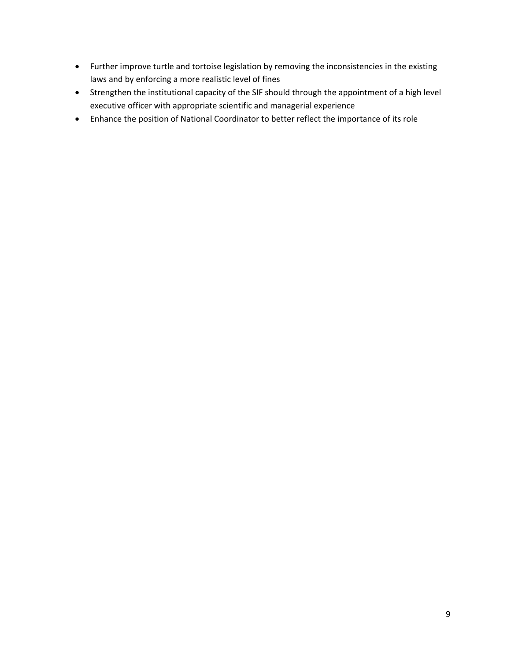- Further improve turtle and tortoise legislation by removing the inconsistencies in the existing laws and by enforcing a more realistic level of fines
- Strengthen the institutional capacity of the SIF should through the appointment of a high level executive officer with appropriate scientific and managerial experience
- Enhance the position of National Coordinator to better reflect the importance of its role